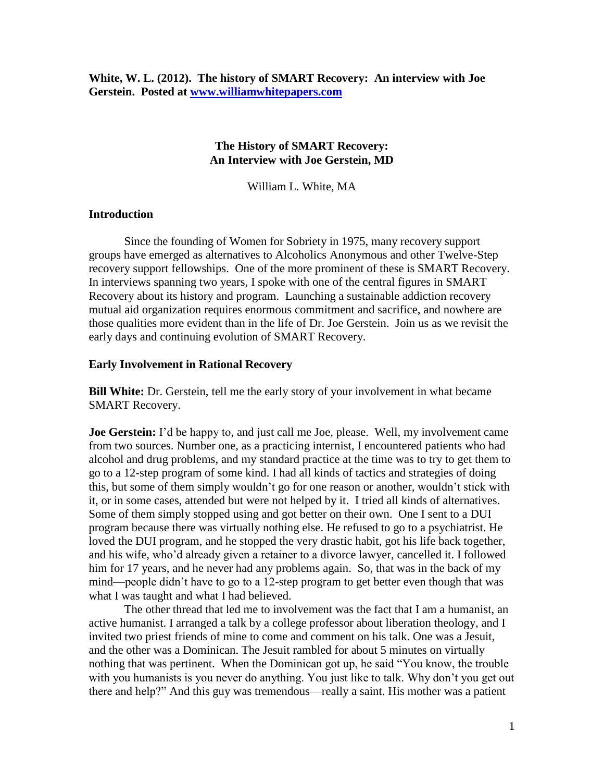### **The History of SMART Recovery: An Interview with Joe Gerstein, MD**

William L. White, MA

### **Introduction**

Since the founding of Women for Sobriety in 1975, many recovery support groups have emerged as alternatives to Alcoholics Anonymous and other Twelve-Step recovery support fellowships. One of the more prominent of these is SMART Recovery. In interviews spanning two years, I spoke with one of the central figures in SMART Recovery about its history and program. Launching a sustainable addiction recovery mutual aid organization requires enormous commitment and sacrifice, and nowhere are those qualities more evident than in the life of Dr. Joe Gerstein. Join us as we revisit the early days and continuing evolution of SMART Recovery.

### **Early Involvement in Rational Recovery**

**Bill White:** Dr. Gerstein, tell me the early story of your involvement in what became SMART Recovery.

**Joe Gerstein:** I'd be happy to, and just call me Joe, please. Well, my involvement came from two sources. Number one, as a practicing internist, I encountered patients who had alcohol and drug problems, and my standard practice at the time was to try to get them to go to a 12-step program of some kind. I had all kinds of tactics and strategies of doing this, but some of them simply wouldn't go for one reason or another, wouldn't stick with it, or in some cases, attended but were not helped by it. I tried all kinds of alternatives. Some of them simply stopped using and got better on their own. One I sent to a DUI program because there was virtually nothing else. He refused to go to a psychiatrist. He loved the DUI program, and he stopped the very drastic habit, got his life back together, and his wife, who'd already given a retainer to a divorce lawyer, cancelled it. I followed him for 17 years, and he never had any problems again. So, that was in the back of my mind—people didn't have to go to a 12-step program to get better even though that was what I was taught and what I had believed.

The other thread that led me to involvement was the fact that I am a humanist, an active humanist. I arranged a talk by a college professor about liberation theology, and I invited two priest friends of mine to come and comment on his talk. One was a Jesuit, and the other was a Dominican. The Jesuit rambled for about 5 minutes on virtually nothing that was pertinent. When the Dominican got up, he said "You know, the trouble with you humanists is you never do anything. You just like to talk. Why don't you get out there and help?" And this guy was tremendous—really a saint. His mother was a patient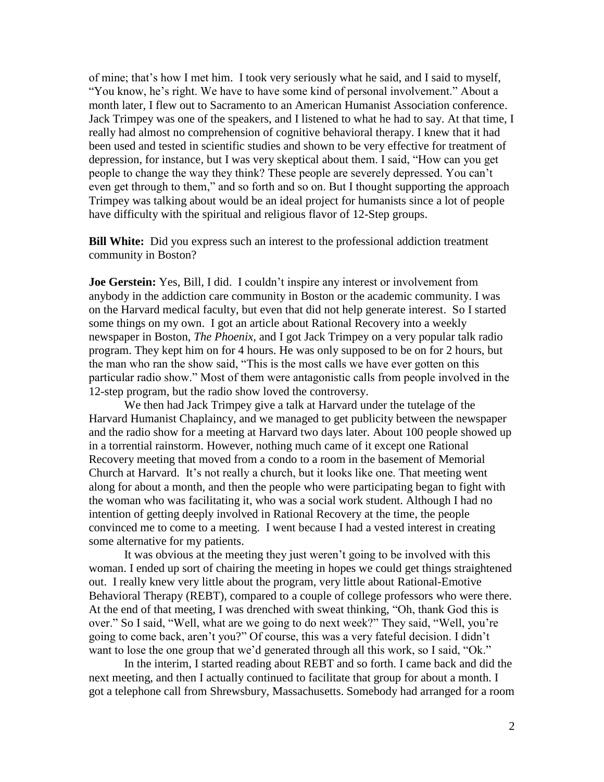of mine; that's how I met him. I took very seriously what he said, and I said to myself, "You know, he's right. We have to have some kind of personal involvement." About a month later, I flew out to Sacramento to an American Humanist Association conference. Jack Trimpey was one of the speakers, and I listened to what he had to say. At that time, I really had almost no comprehension of cognitive behavioral therapy. I knew that it had been used and tested in scientific studies and shown to be very effective for treatment of depression, for instance, but I was very skeptical about them. I said, "How can you get people to change the way they think? These people are severely depressed. You can't even get through to them," and so forth and so on. But I thought supporting the approach Trimpey was talking about would be an ideal project for humanists since a lot of people have difficulty with the spiritual and religious flavor of 12-Step groups.

**Bill White:** Did you express such an interest to the professional addiction treatment community in Boston?

**Joe Gerstein:** Yes, Bill, I did. I couldn't inspire any interest or involvement from anybody in the addiction care community in Boston or the academic community. I was on the Harvard medical faculty, but even that did not help generate interest. So I started some things on my own. I got an article about Rational Recovery into a weekly newspaper in Boston, *The Phoenix,* and I got Jack Trimpey on a very popular talk radio program. They kept him on for 4 hours. He was only supposed to be on for 2 hours, but the man who ran the show said, "This is the most calls we have ever gotten on this particular radio show." Most of them were antagonistic calls from people involved in the 12-step program, but the radio show loved the controversy.

We then had Jack Trimpey give a talk at Harvard under the tutelage of the Harvard Humanist Chaplaincy, and we managed to get publicity between the newspaper and the radio show for a meeting at Harvard two days later. About 100 people showed up in a torrential rainstorm. However, nothing much came of it except one Rational Recovery meeting that moved from a condo to a room in the basement of Memorial Church at Harvard. It's not really a church, but it looks like one. That meeting went along for about a month, and then the people who were participating began to fight with the woman who was facilitating it, who was a social work student. Although I had no intention of getting deeply involved in Rational Recovery at the time, the people convinced me to come to a meeting. I went because I had a vested interest in creating some alternative for my patients.

It was obvious at the meeting they just weren't going to be involved with this woman. I ended up sort of chairing the meeting in hopes we could get things straightened out. I really knew very little about the program, very little about Rational-Emotive Behavioral Therapy (REBT), compared to a couple of college professors who were there. At the end of that meeting, I was drenched with sweat thinking, "Oh, thank God this is over." So I said, "Well, what are we going to do next week?" They said, "Well, you're going to come back, aren't you?" Of course, this was a very fateful decision. I didn't want to lose the one group that we'd generated through all this work, so I said, "Ok."

In the interim, I started reading about REBT and so forth. I came back and did the next meeting, and then I actually continued to facilitate that group for about a month. I got a telephone call from Shrewsbury, Massachusetts. Somebody had arranged for a room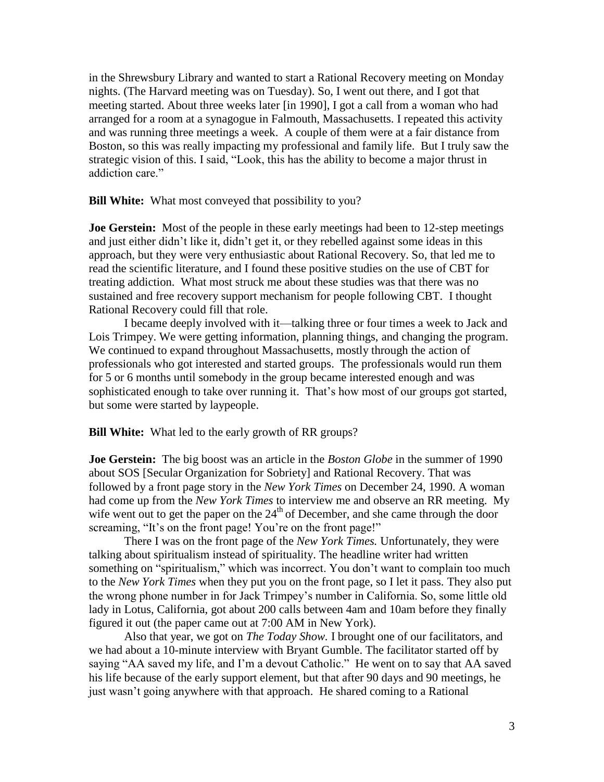in the Shrewsbury Library and wanted to start a Rational Recovery meeting on Monday nights. (The Harvard meeting was on Tuesday). So, I went out there, and I got that meeting started. About three weeks later [in 1990], I got a call from a woman who had arranged for a room at a synagogue in Falmouth, Massachusetts. I repeated this activity and was running three meetings a week. A couple of them were at a fair distance from Boston, so this was really impacting my professional and family life. But I truly saw the strategic vision of this. I said, "Look, this has the ability to become a major thrust in addiction care."

**Bill White:** What most conveyed that possibility to you?

**Joe Gerstein:** Most of the people in these early meetings had been to 12-step meetings and just either didn't like it, didn't get it, or they rebelled against some ideas in this approach, but they were very enthusiastic about Rational Recovery. So, that led me to read the scientific literature, and I found these positive studies on the use of CBT for treating addiction. What most struck me about these studies was that there was no sustained and free recovery support mechanism for people following CBT. I thought Rational Recovery could fill that role.

I became deeply involved with it—talking three or four times a week to Jack and Lois Trimpey. We were getting information, planning things, and changing the program. We continued to expand throughout Massachusetts, mostly through the action of professionals who got interested and started groups. The professionals would run them for 5 or 6 months until somebody in the group became interested enough and was sophisticated enough to take over running it. That's how most of our groups got started, but some were started by laypeople.

**Bill White:** What led to the early growth of RR groups?

**Joe Gerstein:** The big boost was an article in the *Boston Globe* in the summer of 1990 about SOS [Secular Organization for Sobriety] and Rational Recovery. That was followed by a front page story in the *New York Times* on December 24, 1990. A woman had come up from the *New York Times* to interview me and observe an RR meeting. My wife went out to get the paper on the  $24<sup>th</sup>$  of December, and she came through the door screaming, "It's on the front page! You're on the front page!"

There I was on the front page of the *New York Times.* Unfortunately, they were talking about spiritualism instead of spirituality. The headline writer had written something on "spiritualism," which was incorrect. You don't want to complain too much to the *New York Times* when they put you on the front page, so I let it pass. They also put the wrong phone number in for Jack Trimpey's number in California. So, some little old lady in Lotus, California, got about 200 calls between 4am and 10am before they finally figured it out (the paper came out at 7:00 AM in New York).

Also that year, we got on *The Today Show.* I brought one of our facilitators, and we had about a 10-minute interview with Bryant Gumble. The facilitator started off by saying "AA saved my life, and I'm a devout Catholic." He went on to say that AA saved his life because of the early support element, but that after 90 days and 90 meetings, he just wasn't going anywhere with that approach. He shared coming to a Rational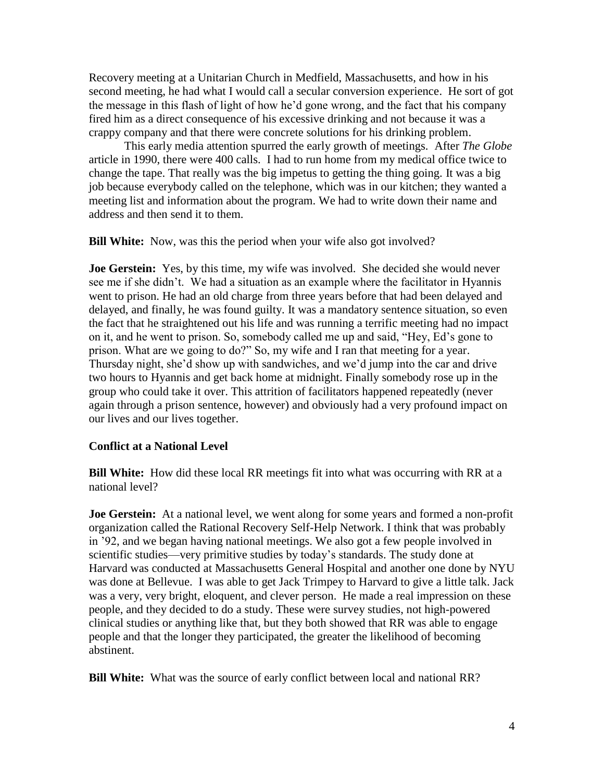Recovery meeting at a Unitarian Church in Medfield, Massachusetts, and how in his second meeting, he had what I would call a secular conversion experience. He sort of got the message in this flash of light of how he'd gone wrong, and the fact that his company fired him as a direct consequence of his excessive drinking and not because it was a crappy company and that there were concrete solutions for his drinking problem.

This early media attention spurred the early growth of meetings. After *The Globe* article in 1990, there were 400 calls. I had to run home from my medical office twice to change the tape. That really was the big impetus to getting the thing going. It was a big job because everybody called on the telephone, which was in our kitchen; they wanted a meeting list and information about the program. We had to write down their name and address and then send it to them.

**Bill White:** Now, was this the period when your wife also got involved?

**Joe Gerstein:** Yes, by this time, my wife was involved. She decided she would never see me if she didn't. We had a situation as an example where the facilitator in Hyannis went to prison. He had an old charge from three years before that had been delayed and delayed, and finally, he was found guilty. It was a mandatory sentence situation, so even the fact that he straightened out his life and was running a terrific meeting had no impact on it, and he went to prison. So, somebody called me up and said, "Hey, Ed's gone to prison. What are we going to do?" So, my wife and I ran that meeting for a year. Thursday night, she'd show up with sandwiches, and we'd jump into the car and drive two hours to Hyannis and get back home at midnight. Finally somebody rose up in the group who could take it over. This attrition of facilitators happened repeatedly (never again through a prison sentence, however) and obviously had a very profound impact on our lives and our lives together.

# **Conflict at a National Level**

**Bill White:** How did these local RR meetings fit into what was occurring with RR at a national level?

**Joe Gerstein:** At a national level, we went along for some years and formed a non-profit organization called the Rational Recovery Self-Help Network. I think that was probably in '92, and we began having national meetings. We also got a few people involved in scientific studies—very primitive studies by today's standards. The study done at Harvard was conducted at Massachusetts General Hospital and another one done by NYU was done at Bellevue. I was able to get Jack Trimpey to Harvard to give a little talk. Jack was a very, very bright, eloquent, and clever person. He made a real impression on these people, and they decided to do a study. These were survey studies, not high-powered clinical studies or anything like that, but they both showed that RR was able to engage people and that the longer they participated, the greater the likelihood of becoming abstinent.

**Bill White:** What was the source of early conflict between local and national RR?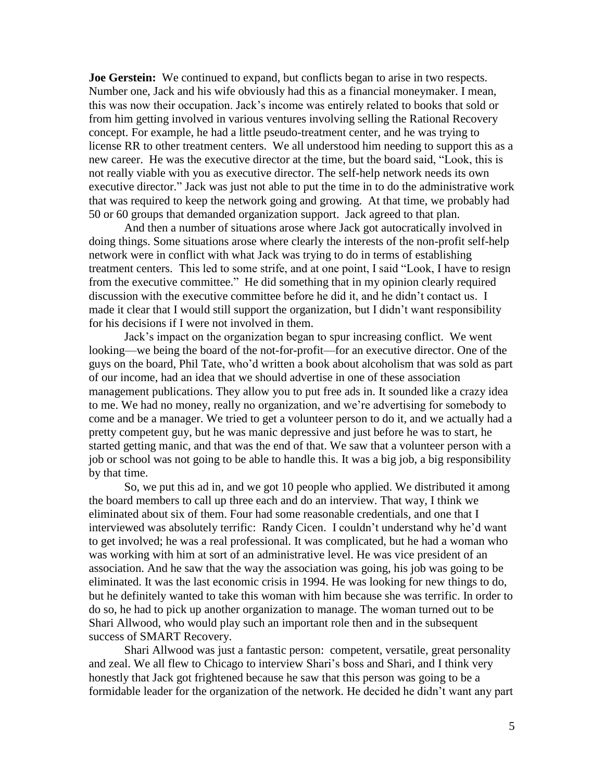**Joe Gerstein:** We continued to expand, but conflicts began to arise in two respects. Number one, Jack and his wife obviously had this as a financial moneymaker. I mean, this was now their occupation. Jack's income was entirely related to books that sold or from him getting involved in various ventures involving selling the Rational Recovery concept. For example, he had a little pseudo-treatment center, and he was trying to license RR to other treatment centers. We all understood him needing to support this as a new career. He was the executive director at the time, but the board said, "Look, this is not really viable with you as executive director. The self-help network needs its own executive director." Jack was just not able to put the time in to do the administrative work that was required to keep the network going and growing. At that time, we probably had 50 or 60 groups that demanded organization support. Jack agreed to that plan.

And then a number of situations arose where Jack got autocratically involved in doing things. Some situations arose where clearly the interests of the non-profit self-help network were in conflict with what Jack was trying to do in terms of establishing treatment centers. This led to some strife, and at one point, I said "Look, I have to resign from the executive committee." He did something that in my opinion clearly required discussion with the executive committee before he did it, and he didn't contact us. I made it clear that I would still support the organization, but I didn't want responsibility for his decisions if I were not involved in them.

Jack's impact on the organization began to spur increasing conflict. We went looking—we being the board of the not-for-profit—for an executive director. One of the guys on the board, Phil Tate, who'd written a book about alcoholism that was sold as part of our income, had an idea that we should advertise in one of these association management publications. They allow you to put free ads in. It sounded like a crazy idea to me. We had no money, really no organization, and we're advertising for somebody to come and be a manager. We tried to get a volunteer person to do it, and we actually had a pretty competent guy, but he was manic depressive and just before he was to start, he started getting manic, and that was the end of that. We saw that a volunteer person with a job or school was not going to be able to handle this. It was a big job, a big responsibility by that time.

So, we put this ad in, and we got 10 people who applied. We distributed it among the board members to call up three each and do an interview. That way, I think we eliminated about six of them. Four had some reasonable credentials, and one that I interviewed was absolutely terrific: Randy Cicen. I couldn't understand why he'd want to get involved; he was a real professional. It was complicated, but he had a woman who was working with him at sort of an administrative level. He was vice president of an association. And he saw that the way the association was going, his job was going to be eliminated. It was the last economic crisis in 1994. He was looking for new things to do, but he definitely wanted to take this woman with him because she was terrific. In order to do so, he had to pick up another organization to manage. The woman turned out to be Shari Allwood, who would play such an important role then and in the subsequent success of SMART Recovery.

Shari Allwood was just a fantastic person: competent, versatile, great personality and zeal. We all flew to Chicago to interview Shari's boss and Shari, and I think very honestly that Jack got frightened because he saw that this person was going to be a formidable leader for the organization of the network. He decided he didn't want any part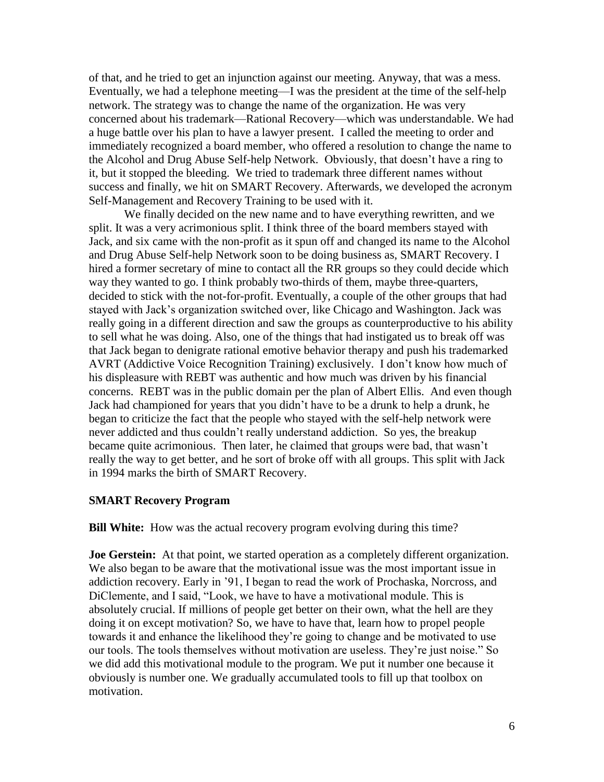of that, and he tried to get an injunction against our meeting. Anyway, that was a mess. Eventually, we had a telephone meeting—I was the president at the time of the self-help network. The strategy was to change the name of the organization. He was very concerned about his trademark—Rational Recovery—which was understandable. We had a huge battle over his plan to have a lawyer present. I called the meeting to order and immediately recognized a board member, who offered a resolution to change the name to the Alcohol and Drug Abuse Self-help Network. Obviously, that doesn't have a ring to it, but it stopped the bleeding. We tried to trademark three different names without success and finally, we hit on SMART Recovery. Afterwards, we developed the acronym Self-Management and Recovery Training to be used with it.

We finally decided on the new name and to have everything rewritten, and we split. It was a very acrimonious split. I think three of the board members stayed with Jack, and six came with the non-profit as it spun off and changed its name to the Alcohol and Drug Abuse Self-help Network soon to be doing business as, SMART Recovery. I hired a former secretary of mine to contact all the RR groups so they could decide which way they wanted to go. I think probably two-thirds of them, maybe three-quarters, decided to stick with the not-for-profit. Eventually, a couple of the other groups that had stayed with Jack's organization switched over, like Chicago and Washington. Jack was really going in a different direction and saw the groups as counterproductive to his ability to sell what he was doing. Also, one of the things that had instigated us to break off was that Jack began to denigrate rational emotive behavior therapy and push his trademarked AVRT (Addictive Voice Recognition Training) exclusively. I don't know how much of his displeasure with REBT was authentic and how much was driven by his financial concerns. REBT was in the public domain per the plan of Albert Ellis. And even though Jack had championed for years that you didn't have to be a drunk to help a drunk, he began to criticize the fact that the people who stayed with the self-help network were never addicted and thus couldn't really understand addiction. So yes, the breakup became quite acrimonious. Then later, he claimed that groups were bad, that wasn't really the way to get better, and he sort of broke off with all groups. This split with Jack in 1994 marks the birth of SMART Recovery.

### **SMART Recovery Program**

**Bill White:** How was the actual recovery program evolving during this time?

**Joe Gerstein:** At that point, we started operation as a completely different organization. We also began to be aware that the motivational issue was the most important issue in addiction recovery. Early in '91, I began to read the work of Prochaska, Norcross, and DiClemente, and I said, "Look, we have to have a motivational module. This is absolutely crucial. If millions of people get better on their own, what the hell are they doing it on except motivation? So, we have to have that, learn how to propel people towards it and enhance the likelihood they're going to change and be motivated to use our tools. The tools themselves without motivation are useless. They're just noise." So we did add this motivational module to the program. We put it number one because it obviously is number one. We gradually accumulated tools to fill up that toolbox on motivation.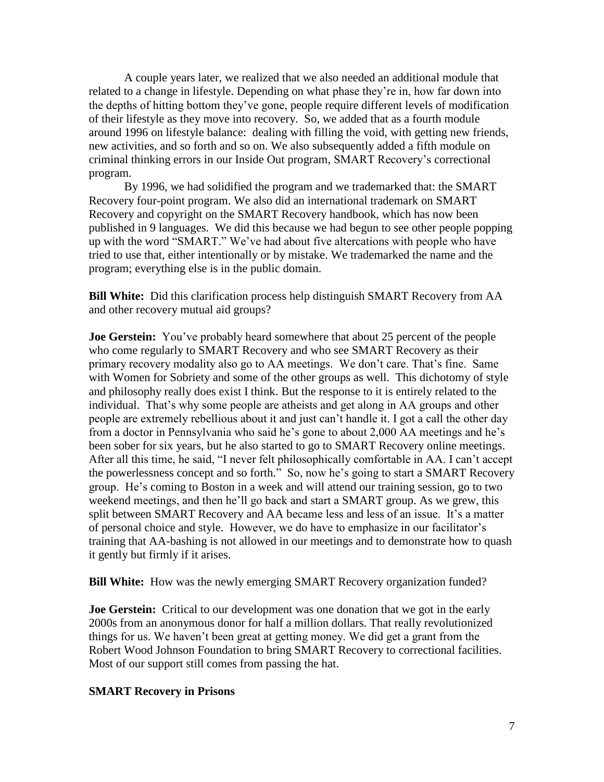A couple years later, we realized that we also needed an additional module that related to a change in lifestyle. Depending on what phase they're in, how far down into the depths of hitting bottom they've gone, people require different levels of modification of their lifestyle as they move into recovery. So, we added that as a fourth module around 1996 on lifestyle balance: dealing with filling the void, with getting new friends, new activities, and so forth and so on. We also subsequently added a fifth module on criminal thinking errors in our Inside Out program, SMART Recovery's correctional program.

By 1996, we had solidified the program and we trademarked that: the SMART Recovery four-point program. We also did an international trademark on SMART Recovery and copyright on the SMART Recovery handbook, which has now been published in 9 languages. We did this because we had begun to see other people popping up with the word "SMART." We've had about five altercations with people who have tried to use that, either intentionally or by mistake. We trademarked the name and the program; everything else is in the public domain.

**Bill White:** Did this clarification process help distinguish SMART Recovery from AA and other recovery mutual aid groups?

**Joe Gerstein:** You've probably heard somewhere that about 25 percent of the people who come regularly to SMART Recovery and who see SMART Recovery as their primary recovery modality also go to AA meetings. We don't care. That's fine. Same with Women for Sobriety and some of the other groups as well. This dichotomy of style and philosophy really does exist I think. But the response to it is entirely related to the individual. That's why some people are atheists and get along in AA groups and other people are extremely rebellious about it and just can't handle it. I got a call the other day from a doctor in Pennsylvania who said he's gone to about 2,000 AA meetings and he's been sober for six years, but he also started to go to SMART Recovery online meetings. After all this time, he said, "I never felt philosophically comfortable in AA. I can't accept the powerlessness concept and so forth." So, now he's going to start a SMART Recovery group. He's coming to Boston in a week and will attend our training session, go to two weekend meetings, and then he'll go back and start a SMART group. As we grew, this split between SMART Recovery and AA became less and less of an issue. It's a matter of personal choice and style. However, we do have to emphasize in our facilitator's training that AA-bashing is not allowed in our meetings and to demonstrate how to quash it gently but firmly if it arises.

**Bill White:** How was the newly emerging SMART Recovery organization funded?

**Joe Gerstein:** Critical to our development was one donation that we got in the early 2000s from an anonymous donor for half a million dollars. That really revolutionized things for us. We haven't been great at getting money. We did get a grant from the Robert Wood Johnson Foundation to bring SMART Recovery to correctional facilities. Most of our support still comes from passing the hat.

# **SMART Recovery in Prisons**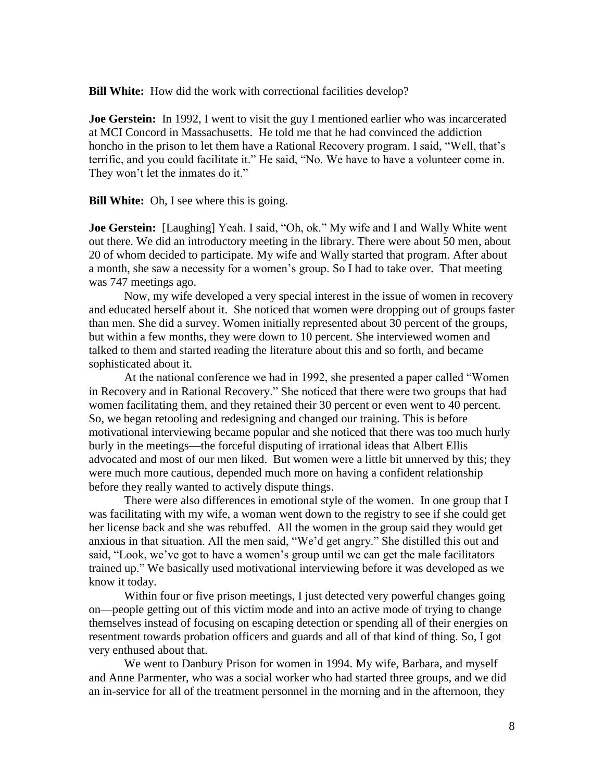**Bill White:** How did the work with correctional facilities develop?

**Joe Gerstein:** In 1992, I went to visit the guy I mentioned earlier who was incarcerated at MCI Concord in Massachusetts. He told me that he had convinced the addiction honcho in the prison to let them have a Rational Recovery program. I said, "Well, that's terrific, and you could facilitate it." He said, "No. We have to have a volunteer come in. They won't let the inmates do it."

**Bill White:** Oh, I see where this is going.

**Joe Gerstein:** [Laughing] Yeah. I said, "Oh, ok." My wife and I and Wally White went out there. We did an introductory meeting in the library. There were about 50 men, about 20 of whom decided to participate. My wife and Wally started that program. After about a month, she saw a necessity for a women's group. So I had to take over. That meeting was 747 meetings ago.

Now, my wife developed a very special interest in the issue of women in recovery and educated herself about it. She noticed that women were dropping out of groups faster than men. She did a survey. Women initially represented about 30 percent of the groups, but within a few months, they were down to 10 percent. She interviewed women and talked to them and started reading the literature about this and so forth, and became sophisticated about it.

At the national conference we had in 1992, she presented a paper called "Women in Recovery and in Rational Recovery." She noticed that there were two groups that had women facilitating them, and they retained their 30 percent or even went to 40 percent. So, we began retooling and redesigning and changed our training. This is before motivational interviewing became popular and she noticed that there was too much hurly burly in the meetings—the forceful disputing of irrational ideas that Albert Ellis advocated and most of our men liked. But women were a little bit unnerved by this; they were much more cautious, depended much more on having a confident relationship before they really wanted to actively dispute things.

There were also differences in emotional style of the women. In one group that I was facilitating with my wife, a woman went down to the registry to see if she could get her license back and she was rebuffed. All the women in the group said they would get anxious in that situation. All the men said, "We'd get angry." She distilled this out and said, "Look, we've got to have a women's group until we can get the male facilitators trained up." We basically used motivational interviewing before it was developed as we know it today.

Within four or five prison meetings, I just detected very powerful changes going on—people getting out of this victim mode and into an active mode of trying to change themselves instead of focusing on escaping detection or spending all of their energies on resentment towards probation officers and guards and all of that kind of thing. So, I got very enthused about that.

We went to Danbury Prison for women in 1994. My wife, Barbara, and myself and Anne Parmenter, who was a social worker who had started three groups, and we did an in-service for all of the treatment personnel in the morning and in the afternoon, they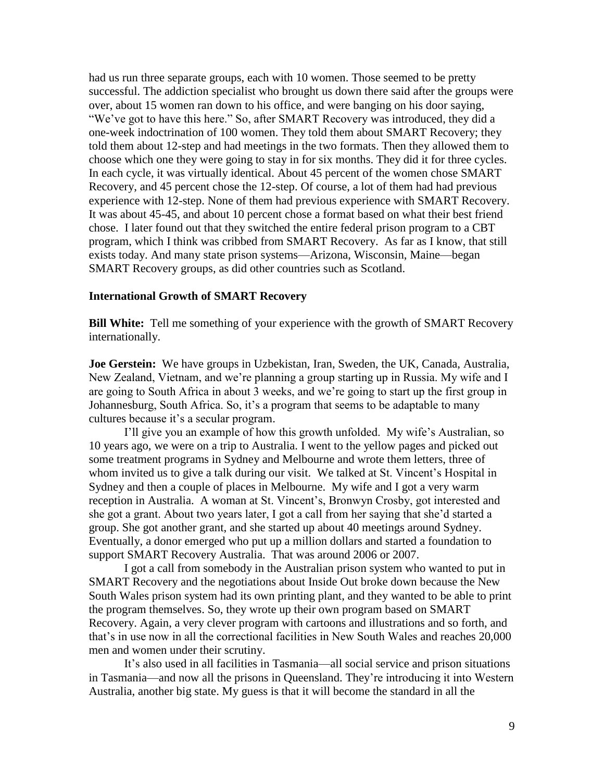had us run three separate groups, each with 10 women. Those seemed to be pretty successful. The addiction specialist who brought us down there said after the groups were over, about 15 women ran down to his office, and were banging on his door saying, "We've got to have this here." So, after SMART Recovery was introduced, they did a one-week indoctrination of 100 women. They told them about SMART Recovery; they told them about 12-step and had meetings in the two formats. Then they allowed them to choose which one they were going to stay in for six months. They did it for three cycles. In each cycle, it was virtually identical. About 45 percent of the women chose SMART Recovery, and 45 percent chose the 12-step. Of course, a lot of them had had previous experience with 12-step. None of them had previous experience with SMART Recovery. It was about 45-45, and about 10 percent chose a format based on what their best friend chose. I later found out that they switched the entire federal prison program to a CBT program, which I think was cribbed from SMART Recovery. As far as I know, that still exists today. And many state prison systems—Arizona, Wisconsin, Maine—began SMART Recovery groups, as did other countries such as Scotland.

#### **International Growth of SMART Recovery**

**Bill White:** Tell me something of your experience with the growth of SMART Recovery internationally.

**Joe Gerstein:** We have groups in Uzbekistan, Iran, Sweden, the UK, Canada, Australia, New Zealand, Vietnam, and we're planning a group starting up in Russia. My wife and I are going to South Africa in about 3 weeks, and we're going to start up the first group in Johannesburg, South Africa. So, it's a program that seems to be adaptable to many cultures because it's a secular program.

I'll give you an example of how this growth unfolded. My wife's Australian, so 10 years ago, we were on a trip to Australia. I went to the yellow pages and picked out some treatment programs in Sydney and Melbourne and wrote them letters, three of whom invited us to give a talk during our visit. We talked at St. Vincent's Hospital in Sydney and then a couple of places in Melbourne. My wife and I got a very warm reception in Australia. A woman at St. Vincent's, Bronwyn Crosby, got interested and she got a grant. About two years later, I got a call from her saying that she'd started a group. She got another grant, and she started up about 40 meetings around Sydney. Eventually, a donor emerged who put up a million dollars and started a foundation to support SMART Recovery Australia. That was around 2006 or 2007.

I got a call from somebody in the Australian prison system who wanted to put in SMART Recovery and the negotiations about Inside Out broke down because the New South Wales prison system had its own printing plant, and they wanted to be able to print the program themselves. So, they wrote up their own program based on SMART Recovery. Again, a very clever program with cartoons and illustrations and so forth, and that's in use now in all the correctional facilities in New South Wales and reaches 20,000 men and women under their scrutiny.

It's also used in all facilities in Tasmania—all social service and prison situations in Tasmania—and now all the prisons in Queensland. They're introducing it into Western Australia, another big state. My guess is that it will become the standard in all the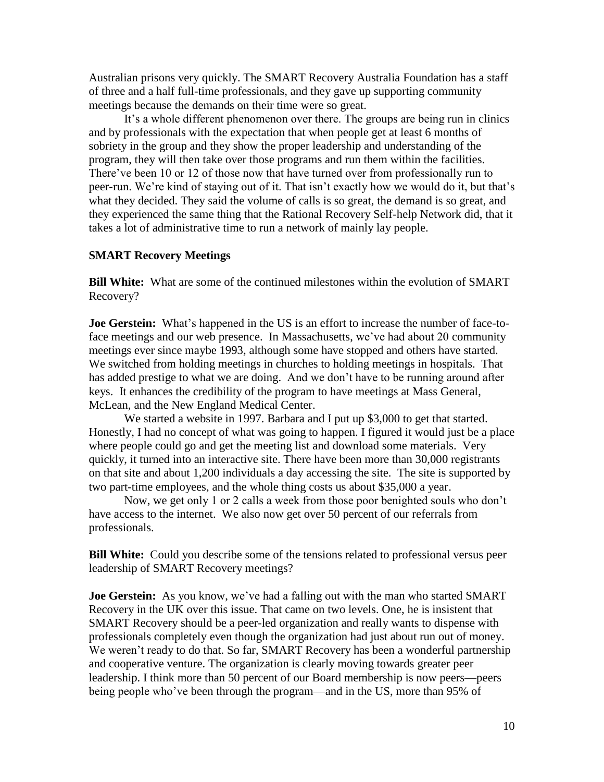Australian prisons very quickly. The SMART Recovery Australia Foundation has a staff of three and a half full-time professionals, and they gave up supporting community meetings because the demands on their time were so great.

It's a whole different phenomenon over there. The groups are being run in clinics and by professionals with the expectation that when people get at least 6 months of sobriety in the group and they show the proper leadership and understanding of the program, they will then take over those programs and run them within the facilities. There've been 10 or 12 of those now that have turned over from professionally run to peer-run. We're kind of staying out of it. That isn't exactly how we would do it, but that's what they decided. They said the volume of calls is so great, the demand is so great, and they experienced the same thing that the Rational Recovery Self-help Network did, that it takes a lot of administrative time to run a network of mainly lay people.

### **SMART Recovery Meetings**

**Bill White:** What are some of the continued milestones within the evolution of SMART Recovery?

**Joe Gerstein:** What's happened in the US is an effort to increase the number of face-toface meetings and our web presence. In Massachusetts, we've had about 20 community meetings ever since maybe 1993, although some have stopped and others have started. We switched from holding meetings in churches to holding meetings in hospitals. That has added prestige to what we are doing. And we don't have to be running around after keys. It enhances the credibility of the program to have meetings at Mass General, McLean, and the New England Medical Center.

We started a website in 1997. Barbara and I put up \$3,000 to get that started. Honestly, I had no concept of what was going to happen. I figured it would just be a place where people could go and get the meeting list and download some materials. Very quickly, it turned into an interactive site. There have been more than 30,000 registrants on that site and about 1,200 individuals a day accessing the site. The site is supported by two part-time employees, and the whole thing costs us about \$35,000 a year.

Now, we get only 1 or 2 calls a week from those poor benighted souls who don't have access to the internet. We also now get over 50 percent of our referrals from professionals.

**Bill White:** Could you describe some of the tensions related to professional versus peer leadership of SMART Recovery meetings?

**Joe Gerstein:** As you know, we've had a falling out with the man who started SMART Recovery in the UK over this issue. That came on two levels. One, he is insistent that SMART Recovery should be a peer-led organization and really wants to dispense with professionals completely even though the organization had just about run out of money. We weren't ready to do that. So far, SMART Recovery has been a wonderful partnership and cooperative venture. The organization is clearly moving towards greater peer leadership. I think more than 50 percent of our Board membership is now peers—peers being people who've been through the program—and in the US, more than 95% of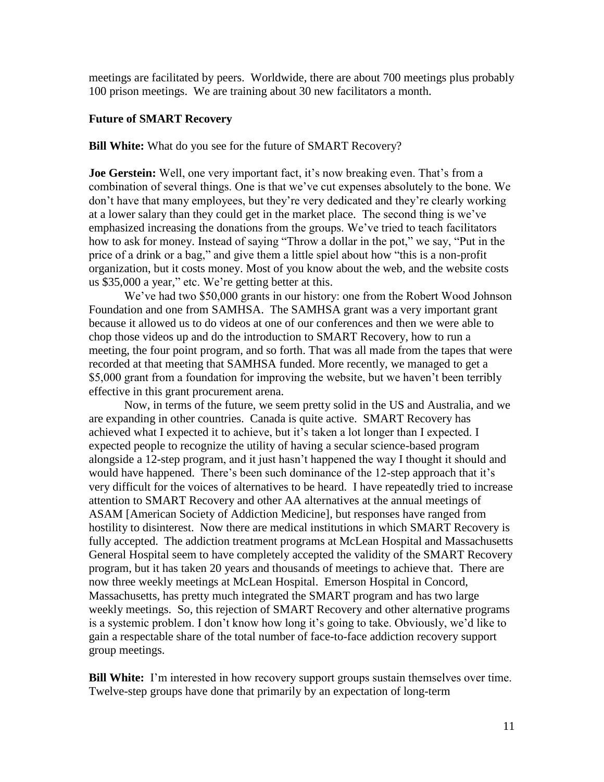meetings are facilitated by peers. Worldwide, there are about 700 meetings plus probably 100 prison meetings. We are training about 30 new facilitators a month.

### **Future of SMART Recovery**

### **Bill White:** What do you see for the future of SMART Recovery?

**Joe Gerstein:** Well, one very important fact, it's now breaking even. That's from a combination of several things. One is that we've cut expenses absolutely to the bone. We don't have that many employees, but they're very dedicated and they're clearly working at a lower salary than they could get in the market place. The second thing is we've emphasized increasing the donations from the groups. We've tried to teach facilitators how to ask for money. Instead of saying "Throw a dollar in the pot," we say, "Put in the price of a drink or a bag," and give them a little spiel about how "this is a non-profit organization, but it costs money. Most of you know about the web, and the website costs us \$35,000 a year," etc. We're getting better at this.

We've had two \$50,000 grants in our history: one from the Robert Wood Johnson Foundation and one from SAMHSA. The SAMHSA grant was a very important grant because it allowed us to do videos at one of our conferences and then we were able to chop those videos up and do the introduction to SMART Recovery, how to run a meeting, the four point program, and so forth. That was all made from the tapes that were recorded at that meeting that SAMHSA funded. More recently, we managed to get a \$5,000 grant from a foundation for improving the website, but we haven't been terribly effective in this grant procurement arena.

Now, in terms of the future, we seem pretty solid in the US and Australia, and we are expanding in other countries. Canada is quite active. SMART Recovery has achieved what I expected it to achieve, but it's taken a lot longer than I expected. I expected people to recognize the utility of having a secular science-based program alongside a 12-step program, and it just hasn't happened the way I thought it should and would have happened. There's been such dominance of the 12-step approach that it's very difficult for the voices of alternatives to be heard. I have repeatedly tried to increase attention to SMART Recovery and other AA alternatives at the annual meetings of ASAM [American Society of Addiction Medicine], but responses have ranged from hostility to disinterest. Now there are medical institutions in which SMART Recovery is fully accepted. The addiction treatment programs at McLean Hospital and Massachusetts General Hospital seem to have completely accepted the validity of the SMART Recovery program, but it has taken 20 years and thousands of meetings to achieve that. There are now three weekly meetings at McLean Hospital. Emerson Hospital in Concord, Massachusetts, has pretty much integrated the SMART program and has two large weekly meetings. So, this rejection of SMART Recovery and other alternative programs is a systemic problem. I don't know how long it's going to take. Obviously, we'd like to gain a respectable share of the total number of face-to-face addiction recovery support group meetings.

**Bill White:** I'm interested in how recovery support groups sustain themselves over time. Twelve-step groups have done that primarily by an expectation of long-term